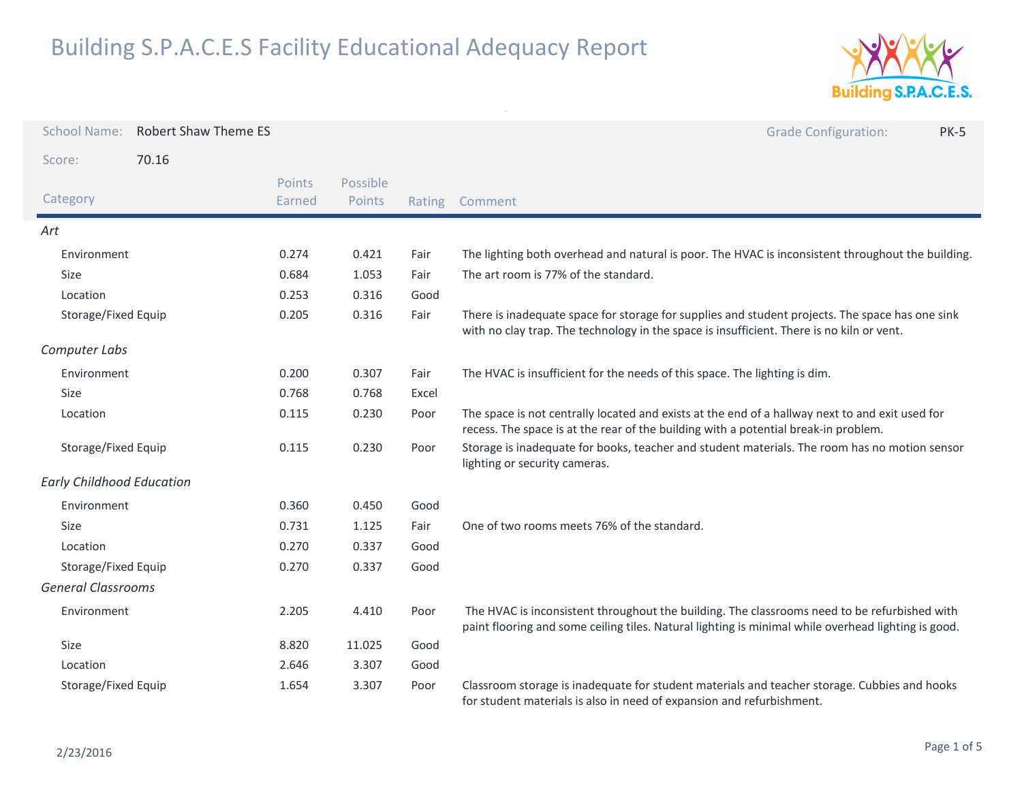

| <b>School Name:</b>              | <b>Robert Shaw Theme ES</b> |               |          |        | <b>Grade Configuration:</b><br><b>PK-5</b>                                                                                                                                                          |  |
|----------------------------------|-----------------------------|---------------|----------|--------|-----------------------------------------------------------------------------------------------------------------------------------------------------------------------------------------------------|--|
| Score:                           | 70.16                       |               |          |        |                                                                                                                                                                                                     |  |
|                                  |                             | <b>Points</b> | Possible |        |                                                                                                                                                                                                     |  |
| Category                         |                             | Earned        | Points   | Rating | Comment                                                                                                                                                                                             |  |
| Art                              |                             |               |          |        |                                                                                                                                                                                                     |  |
| Environment                      |                             | 0.274         | 0.421    | Fair   | The lighting both overhead and natural is poor. The HVAC is inconsistent throughout the building.                                                                                                   |  |
| Size                             |                             | 0.684         | 1.053    | Fair   | The art room is 77% of the standard.                                                                                                                                                                |  |
| Location                         |                             | 0.253         | 0.316    | Good   |                                                                                                                                                                                                     |  |
| Storage/Fixed Equip              |                             | 0.205         | 0.316    | Fair   | There is inadequate space for storage for supplies and student projects. The space has one sink<br>with no clay trap. The technology in the space is insufficient. There is no kiln or vent.        |  |
| Computer Labs                    |                             |               |          |        |                                                                                                                                                                                                     |  |
| Environment                      |                             | 0.200         | 0.307    | Fair   | The HVAC is insufficient for the needs of this space. The lighting is dim.                                                                                                                          |  |
| Size                             |                             | 0.768         | 0.768    | Excel  |                                                                                                                                                                                                     |  |
| Location                         |                             | 0.115         | 0.230    | Poor   | The space is not centrally located and exists at the end of a hallway next to and exit used for<br>recess. The space is at the rear of the building with a potential break-in problem.              |  |
| Storage/Fixed Equip              |                             | 0.115         | 0.230    | Poor   | Storage is inadequate for books, teacher and student materials. The room has no motion sensor<br>lighting or security cameras.                                                                      |  |
| <b>Early Childhood Education</b> |                             |               |          |        |                                                                                                                                                                                                     |  |
| Environment                      |                             | 0.360         | 0.450    | Good   |                                                                                                                                                                                                     |  |
| Size                             |                             | 0.731         | 1.125    | Fair   | One of two rooms meets 76% of the standard.                                                                                                                                                         |  |
| Location                         |                             | 0.270         | 0.337    | Good   |                                                                                                                                                                                                     |  |
| Storage/Fixed Equip              |                             | 0.270         | 0.337    | Good   |                                                                                                                                                                                                     |  |
| <b>General Classrooms</b>        |                             |               |          |        |                                                                                                                                                                                                     |  |
| Environment                      |                             | 2.205         | 4.410    | Poor   | The HVAC is inconsistent throughout the building. The classrooms need to be refurbished with<br>paint flooring and some ceiling tiles. Natural lighting is minimal while overhead lighting is good. |  |
| Size                             |                             | 8.820         | 11.025   | Good   |                                                                                                                                                                                                     |  |
| Location                         |                             | 2.646         | 3.307    | Good   |                                                                                                                                                                                                     |  |
| Storage/Fixed Equip              |                             | 1.654         | 3.307    | Poor   | Classroom storage is inadequate for student materials and teacher storage. Cubbies and hooks<br>for student materials is also in need of expansion and refurbishment.                               |  |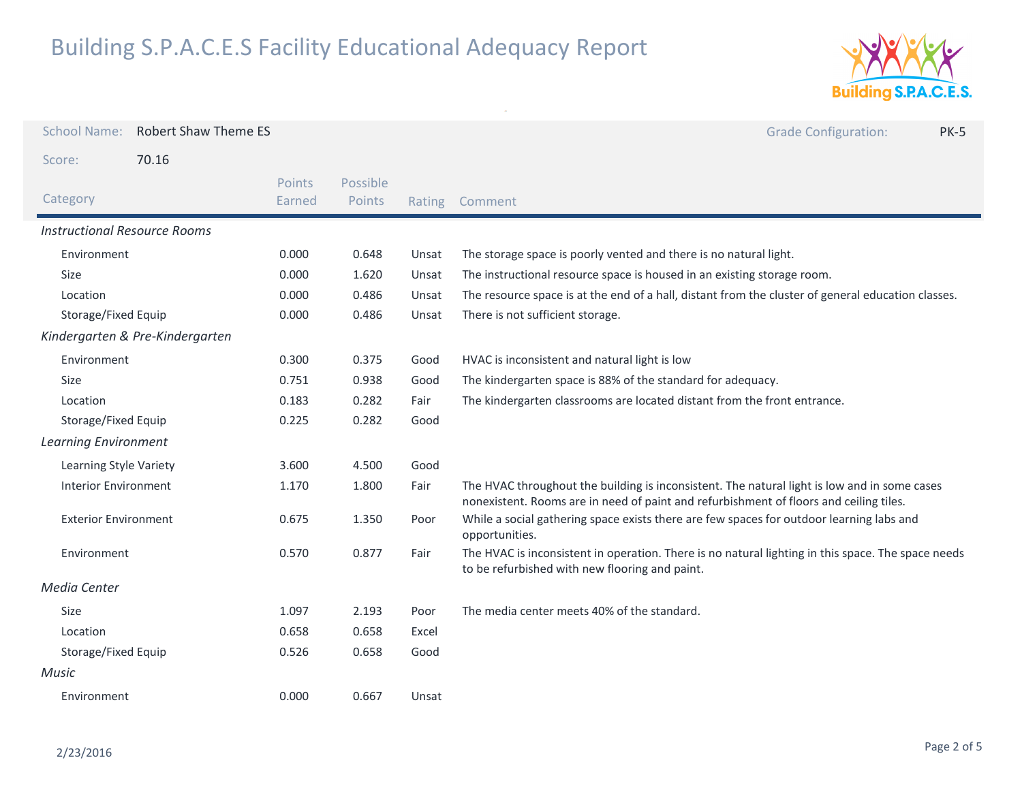

| <b>School Name:</b><br><b>Robert Shaw Theme ES</b> |                  |                    |        | <b>Grade Configuration:</b><br><b>PK-5</b>                                                                                                                                             |  |
|----------------------------------------------------|------------------|--------------------|--------|----------------------------------------------------------------------------------------------------------------------------------------------------------------------------------------|--|
| 70.16<br>Score:                                    |                  |                    |        |                                                                                                                                                                                        |  |
| Category                                           | Points<br>Earned | Possible<br>Points | Rating | Comment                                                                                                                                                                                |  |
| <b>Instructional Resource Rooms</b>                |                  |                    |        |                                                                                                                                                                                        |  |
| Environment                                        | 0.000            | 0.648              | Unsat  | The storage space is poorly vented and there is no natural light.                                                                                                                      |  |
| Size                                               | 0.000            | 1.620              | Unsat  | The instructional resource space is housed in an existing storage room.                                                                                                                |  |
| Location                                           | 0.000            | 0.486              | Unsat  | The resource space is at the end of a hall, distant from the cluster of general education classes.                                                                                     |  |
| Storage/Fixed Equip                                | 0.000            | 0.486              | Unsat  | There is not sufficient storage.                                                                                                                                                       |  |
| Kindergarten & Pre-Kindergarten                    |                  |                    |        |                                                                                                                                                                                        |  |
| Environment                                        | 0.300            | 0.375              | Good   | HVAC is inconsistent and natural light is low                                                                                                                                          |  |
| <b>Size</b>                                        | 0.751            | 0.938              | Good   | The kindergarten space is 88% of the standard for adequacy.                                                                                                                            |  |
| Location                                           | 0.183            | 0.282              | Fair   | The kindergarten classrooms are located distant from the front entrance.                                                                                                               |  |
| Storage/Fixed Equip                                | 0.225            | 0.282              | Good   |                                                                                                                                                                                        |  |
| <b>Learning Environment</b>                        |                  |                    |        |                                                                                                                                                                                        |  |
| Learning Style Variety                             | 3.600            | 4.500              | Good   |                                                                                                                                                                                        |  |
| <b>Interior Environment</b>                        | 1.170            | 1.800              | Fair   | The HVAC throughout the building is inconsistent. The natural light is low and in some cases<br>nonexistent. Rooms are in need of paint and refurbishment of floors and ceiling tiles. |  |
| <b>Exterior Environment</b>                        | 0.675            | 1.350              | Poor   | While a social gathering space exists there are few spaces for outdoor learning labs and<br>opportunities.                                                                             |  |
| Environment                                        | 0.570            | 0.877              | Fair   | The HVAC is inconsistent in operation. There is no natural lighting in this space. The space needs<br>to be refurbished with new flooring and paint.                                   |  |
| Media Center                                       |                  |                    |        |                                                                                                                                                                                        |  |
| Size                                               | 1.097            | 2.193              | Poor   | The media center meets 40% of the standard.                                                                                                                                            |  |
| Location                                           | 0.658            | 0.658              | Excel  |                                                                                                                                                                                        |  |
| Storage/Fixed Equip                                | 0.526            | 0.658              | Good   |                                                                                                                                                                                        |  |
| Music                                              |                  |                    |        |                                                                                                                                                                                        |  |
| Environment                                        | 0.000            | 0.667              | Unsat  |                                                                                                                                                                                        |  |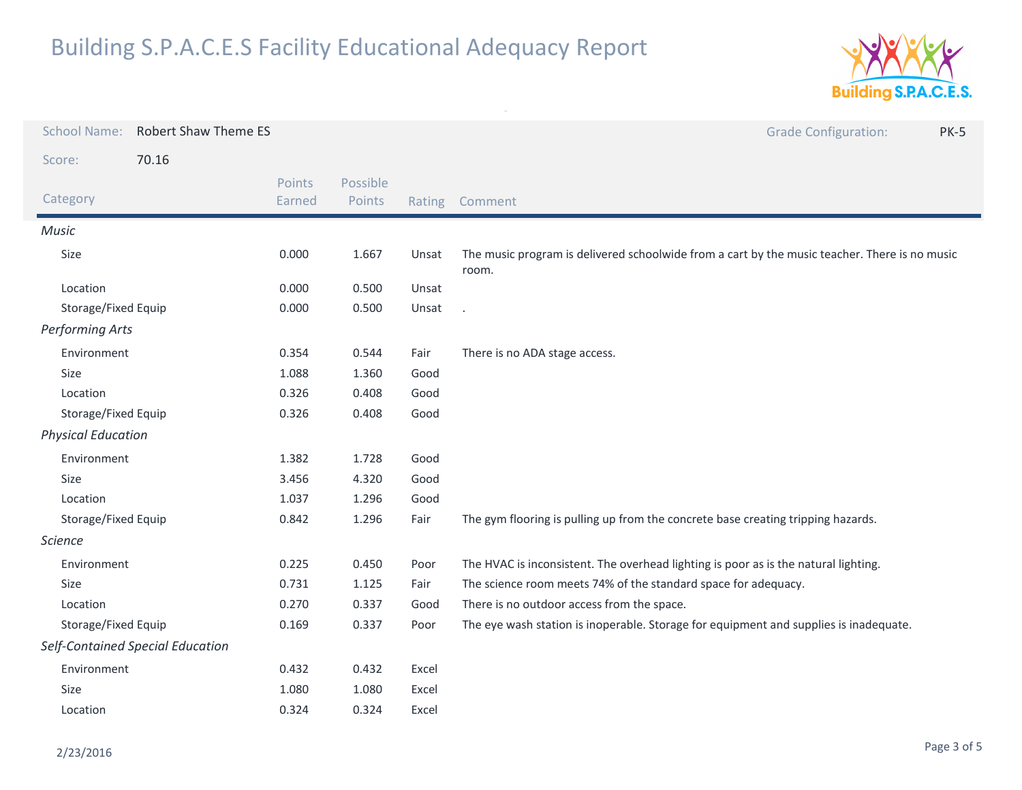

| <b>School Name:</b>       | <b>Robert Shaw Theme ES</b>      |                  |                    |        | <b>Grade Configuration:</b><br><b>PK-5</b>                                                             |
|---------------------------|----------------------------------|------------------|--------------------|--------|--------------------------------------------------------------------------------------------------------|
| Score:                    | 70.16                            |                  |                    |        |                                                                                                        |
| Category                  |                                  | Points<br>Earned | Possible<br>Points | Rating | Comment                                                                                                |
| <b>Music</b>              |                                  |                  |                    |        |                                                                                                        |
| Size                      |                                  | 0.000            | 1.667              | Unsat  | The music program is delivered schoolwide from a cart by the music teacher. There is no music<br>room. |
| Location                  |                                  | 0.000            | 0.500              | Unsat  |                                                                                                        |
| Storage/Fixed Equip       |                                  | 0.000            | 0.500              | Unsat  |                                                                                                        |
| <b>Performing Arts</b>    |                                  |                  |                    |        |                                                                                                        |
| Environment               |                                  | 0.354            | 0.544              | Fair   | There is no ADA stage access.                                                                          |
| Size                      |                                  | 1.088            | 1.360              | Good   |                                                                                                        |
| Location                  |                                  | 0.326            | 0.408              | Good   |                                                                                                        |
| Storage/Fixed Equip       |                                  | 0.326            | 0.408              | Good   |                                                                                                        |
| <b>Physical Education</b> |                                  |                  |                    |        |                                                                                                        |
| Environment               |                                  | 1.382            | 1.728              | Good   |                                                                                                        |
| Size                      |                                  | 3.456            | 4.320              | Good   |                                                                                                        |
| Location                  |                                  | 1.037            | 1.296              | Good   |                                                                                                        |
| Storage/Fixed Equip       |                                  | 0.842            | 1.296              | Fair   | The gym flooring is pulling up from the concrete base creating tripping hazards.                       |
| <b>Science</b>            |                                  |                  |                    |        |                                                                                                        |
| Environment               |                                  | 0.225            | 0.450              | Poor   | The HVAC is inconsistent. The overhead lighting is poor as is the natural lighting.                    |
| Size                      |                                  | 0.731            | 1.125              | Fair   | The science room meets 74% of the standard space for adequacy.                                         |
| Location                  |                                  | 0.270            | 0.337              | Good   | There is no outdoor access from the space.                                                             |
| Storage/Fixed Equip       |                                  | 0.169            | 0.337              | Poor   | The eye wash station is inoperable. Storage for equipment and supplies is inadequate.                  |
|                           | Self-Contained Special Education |                  |                    |        |                                                                                                        |
| Environment               |                                  | 0.432            | 0.432              | Excel  |                                                                                                        |
| Size                      |                                  | 1.080            | 1.080              | Excel  |                                                                                                        |
| Location                  |                                  | 0.324            | 0.324              | Excel  |                                                                                                        |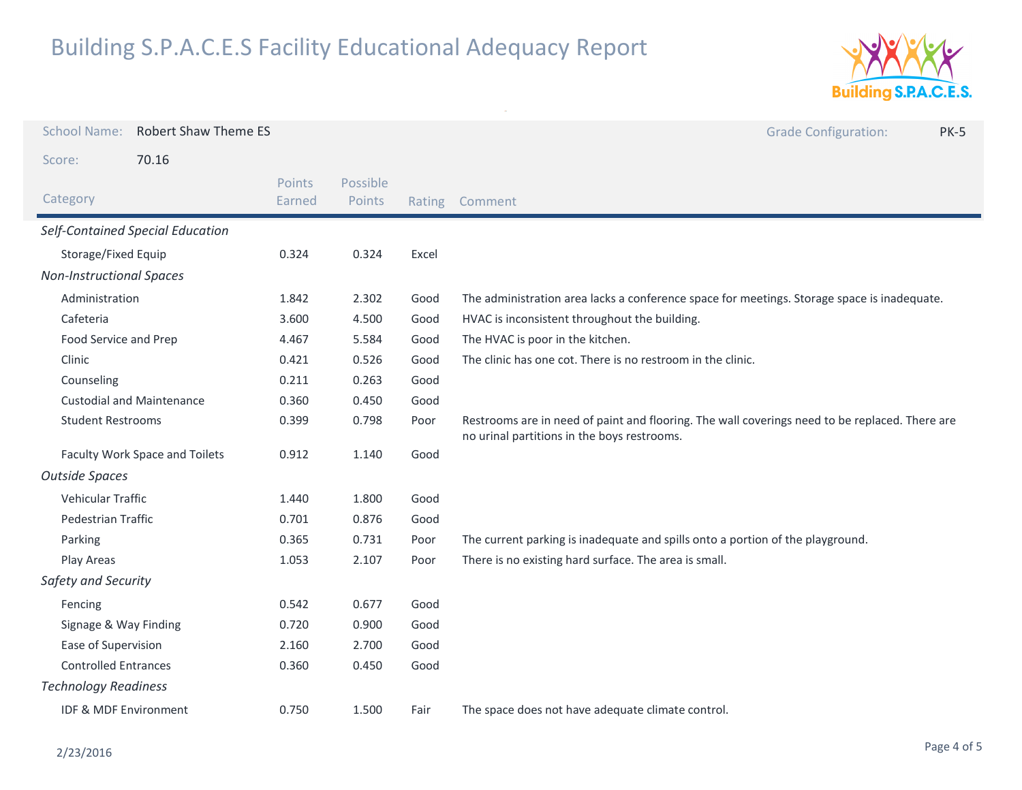

| <b>School Name:</b><br><b>Robert Shaw Theme ES</b> |                                  |                  |                    |        | <b>Grade Configuration:</b><br><b>PK-5</b>                                                                                                    |
|----------------------------------------------------|----------------------------------|------------------|--------------------|--------|-----------------------------------------------------------------------------------------------------------------------------------------------|
| Score:                                             | 70.16                            |                  |                    |        |                                                                                                                                               |
| Category                                           |                                  | Points<br>Earned | Possible<br>Points | Rating | Comment                                                                                                                                       |
|                                                    | Self-Contained Special Education |                  |                    |        |                                                                                                                                               |
| Storage/Fixed Equip                                |                                  | 0.324            | 0.324              | Excel  |                                                                                                                                               |
| <b>Non-Instructional Spaces</b>                    |                                  |                  |                    |        |                                                                                                                                               |
| Administration                                     |                                  | 1.842            | 2.302              | Good   | The administration area lacks a conference space for meetings. Storage space is inadequate.                                                   |
| Cafeteria                                          |                                  | 3.600            | 4.500              | Good   | HVAC is inconsistent throughout the building.                                                                                                 |
| Food Service and Prep                              |                                  | 4.467            | 5.584              | Good   | The HVAC is poor in the kitchen.                                                                                                              |
| Clinic                                             |                                  | 0.421            | 0.526              | Good   | The clinic has one cot. There is no restroom in the clinic.                                                                                   |
| Counseling                                         |                                  | 0.211            | 0.263              | Good   |                                                                                                                                               |
|                                                    | <b>Custodial and Maintenance</b> | 0.360            | 0.450              | Good   |                                                                                                                                               |
| <b>Student Restrooms</b>                           |                                  | 0.399            | 0.798              | Poor   | Restrooms are in need of paint and flooring. The wall coverings need to be replaced. There are<br>no urinal partitions in the boys restrooms. |
| Faculty Work Space and Toilets                     |                                  | 0.912            | 1.140              | Good   |                                                                                                                                               |
| <b>Outside Spaces</b>                              |                                  |                  |                    |        |                                                                                                                                               |
| Vehicular Traffic                                  |                                  | 1.440            | 1.800              | Good   |                                                                                                                                               |
| Pedestrian Traffic                                 |                                  | 0.701            | 0.876              | Good   |                                                                                                                                               |
| Parking                                            |                                  | 0.365            | 0.731              | Poor   | The current parking is inadequate and spills onto a portion of the playground.                                                                |
| Play Areas                                         |                                  | 1.053            | 2.107              | Poor   | There is no existing hard surface. The area is small.                                                                                         |
| Safety and Security                                |                                  |                  |                    |        |                                                                                                                                               |
| Fencing                                            |                                  |                  | 0.677              | Good   |                                                                                                                                               |
| Signage & Way Finding                              |                                  | 0.720            | 0.900              | Good   |                                                                                                                                               |
| Ease of Supervision                                |                                  | 2.160            | 2.700              | Good   |                                                                                                                                               |
| <b>Controlled Entrances</b>                        |                                  | 0.360            | 0.450              | Good   |                                                                                                                                               |
| <b>Technology Readiness</b>                        |                                  |                  |                    |        |                                                                                                                                               |
| IDF & MDF Environment                              |                                  | 0.750            | 1.500              | Fair   | The space does not have adequate climate control.                                                                                             |